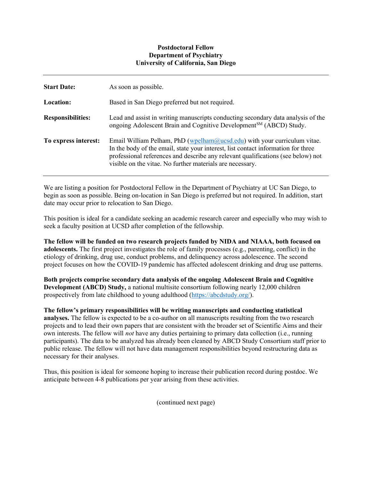## Postdoctoral Fellow Department of Psychiatry University of California, San Diego

| <b>Start Date:</b>       | As soon as possible.                                                                                                                                                                                                                                                                                             |
|--------------------------|------------------------------------------------------------------------------------------------------------------------------------------------------------------------------------------------------------------------------------------------------------------------------------------------------------------|
| Location:                | Based in San Diego preferred but not required.                                                                                                                                                                                                                                                                   |
| <b>Responsibilities:</b> | Lead and assist in writing manuscripts conducting secondary data analysis of the<br>ongoing Adolescent Brain and Cognitive Development <sup>SM</sup> (ABCD) Study.                                                                                                                                               |
| To express interest:     | Email William Pelham, PhD $(wpelham@ucsd.edu)$ with your curriculum vitae.<br>In the body of the email, state your interest, list contact information for three<br>professional references and describe any relevant qualifications (see below) not<br>visible on the vitae. No further materials are necessary. |

We are listing a position for Postdoctoral Fellow in the Department of Psychiatry at UC San Diego, to begin as soon as possible. Being on-location in San Diego is preferred but not required. In addition, start date may occur prior to relocation to San Diego.

This position is ideal for a candidate seeking an academic research career and especially who may wish to seek a faculty position at UCSD after completion of the fellowship.

The fellow will be funded on two research projects funded by NIDA and NIAAA, both focused on adolescents. The first project investigates the role of family processes (e.g., parenting, conflict) in the etiology of drinking, drug use, conduct problems, and delinquency across adolescence. The second project focuses on how the COVID-19 pandemic has affected adolescent drinking and drug use patterns.

Both projects comprise secondary data analysis of the ongoing Adolescent Brain and Cognitive Development (ABCD) Study, a national multisite consortium following nearly 12,000 children prospectively from late childhood to young adulthood (https://abcdstudy.org/).

The fellow's primary responsibilities will be writing manuscripts and conducting statistical analyses. The fellow is expected to be a co-author on all manuscripts resulting from the two research projects and to lead their own papers that are consistent with the broader set of Scientific Aims and their own interests. The fellow will *not* have any duties pertaining to primary data collection (i.e., running participants). The data to be analyzed has already been cleaned by ABCD Study Consortium staff prior to public release. The fellow will not have data management responsibilities beyond restructuring data as necessary for their analyses.

Thus, this position is ideal for someone hoping to increase their publication record during postdoc. We anticipate between 4-8 publications per year arising from these activities.

(continued next page)